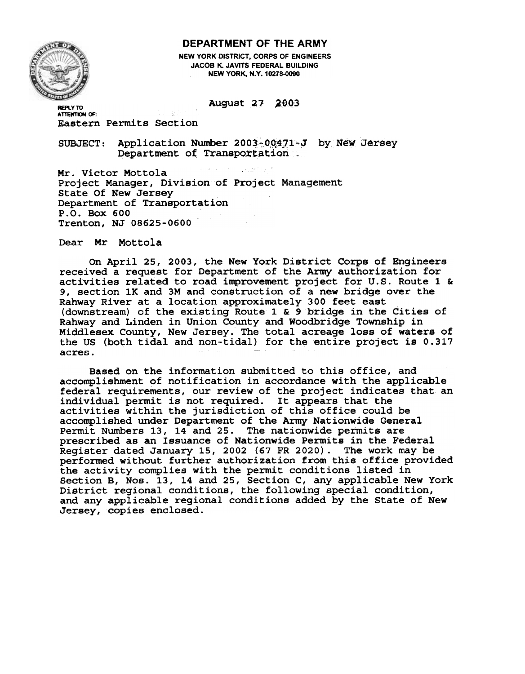## DEPARTMENT OF THE ARMY



NEW YORK DISTRICT, CORPS OF ENGINEERS JACOB K. JAVITS FEDERAL BUILDING NEW YORK, N.Y. 10278-0090

August 27 2003

**ATTENTION OF:** Eastern Permits Section

SUBJECT: Application Number 2003-00471-J by New Jerse Department of Transportation:

Project Manager, Divi<mark>sion of Projec</mark>t Management Mr. Victor Mottola State Of New Jersey Department of Transportation P.O. Box 600 Trenton, NJ 08625-0600

Dear Mr Mottola

On April 25, 2003, the New York District Corps of Engineers received a request for Department of the Army authorization for activities related to road improvement project for u.s. Route 1 & 9, section lK and 3M and construction of a new bridge over the Rahway River at a location approximately 300 feet east (downstream) of the existing Route 1 & 9 bridge in the Cities of Rahway and Linden in Union County and Woodbridge Township in Middlesex County, New Jersey. The total acreage loss of waters of the US (both tidal and non-tidal) for the entire project is 0.317 acres.

Based on the information submitted to this office, and accomplishment of notification in accordance with the applicable federal requirements, our review of the project indicates that an individual permit is not required. It appears that the activities within the jurisdiction of this office could be accomplished under Department of the Army Nationwide General Permit Numbers 13, 14 and 25. The nationwide permits are prescribed as an Issuance of Nationwide Permits in the Federal Register dated January 15, 2002 (67 FR 2020). The work may be performed without further authorization from this office provided the activity complies with the permit conditions listed in Section B, Nos. 13, 14 and 25, Section C, any applicable New York District regional conditions, the following special condition and any applicable regional conditions added by the State of New Jersey, copies enclosed.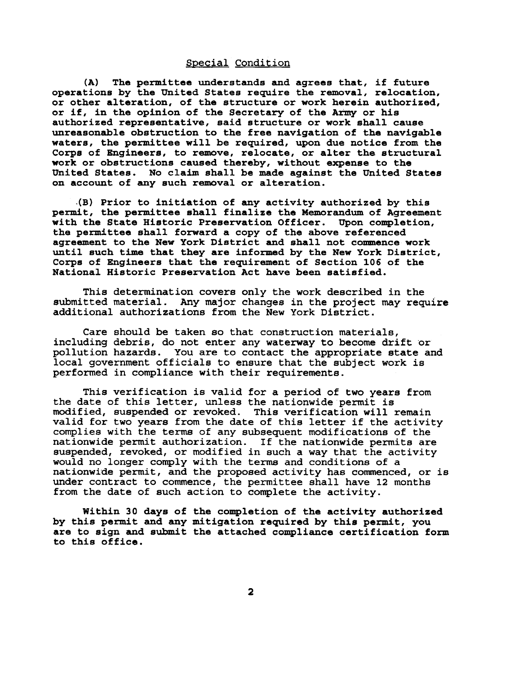## Special Condition

(A) The permittee understands and agrees that, if future operations by the United States require the removal, relocation, or other alteration, of the structure or work herein authorized, or if, in the opinion of the Secretary of the Army or his authorized representative, said structure or work shall cause unreasonable obstruction to the free navigation of the navigable waters, the permittee will be required, upon due notice from the Corps of Engineers, to remove, relocate, or alter the structural work or obstructions caused thereby, without expense to the United States. No claim shall be made against the United States on account of any such removal or alteration.

.(B) Prior to initiation of any activity authorized by this permit, the permittee shall finalize the Memorandum of Agreement with the State Historic Preservation Officer. Upon completion, the permittee shall forward a copy of the above referenced agreement to the New York District and shall not commence work until such time that they are informed by the New York District, Corps of Engineers that the requirement of Section 106 of the National Historic Preservation Act have been satisfied.

This determination covers only the work described in the submitted material. Any major changes in the project may require additional authorizations from the New York District.

Care should be taken so that construction materials, including debris, do not enter any waterway to become drift or pollution hazards. You are to contact the appropriate state and local government officials to ensure that the subject work is performed in compliance with their requirements.

This verification is valid for a period of two years from the date of this letter, unless the nationwide permit is modified, suspended or revoked. This verification will remain valid for two years from the date of this letter if the activity complies with the terms of any subsequent modifications of the nationwide permit authorization. If the nationwide permits are suspended, revoked, or modified in such a way that the activity would no longer comply with the terms and conditions of a nationwide permit, and the proposed activity has commenced, or is under contract to commence, the permittee shall have 12 months from the date of such action to complete the activity.

Within 30 days of the completion of the activity authorized by this permit and any mitigation required by this permit, you are to sign and submit the attached compliance certification form to this office.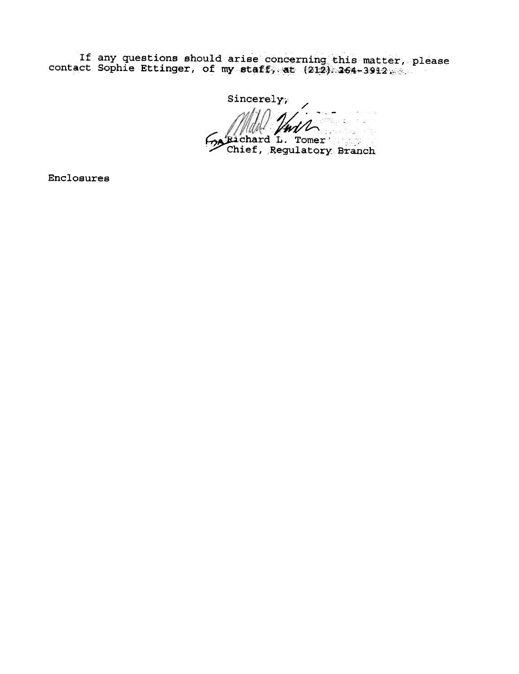If any questions should arise concerning this matter, please<br>contact Sophie Ettinger, of my staff, at  $(212)$  264-3912

Sincerely; كالمرازيب Explicit May 2016

Enclosures